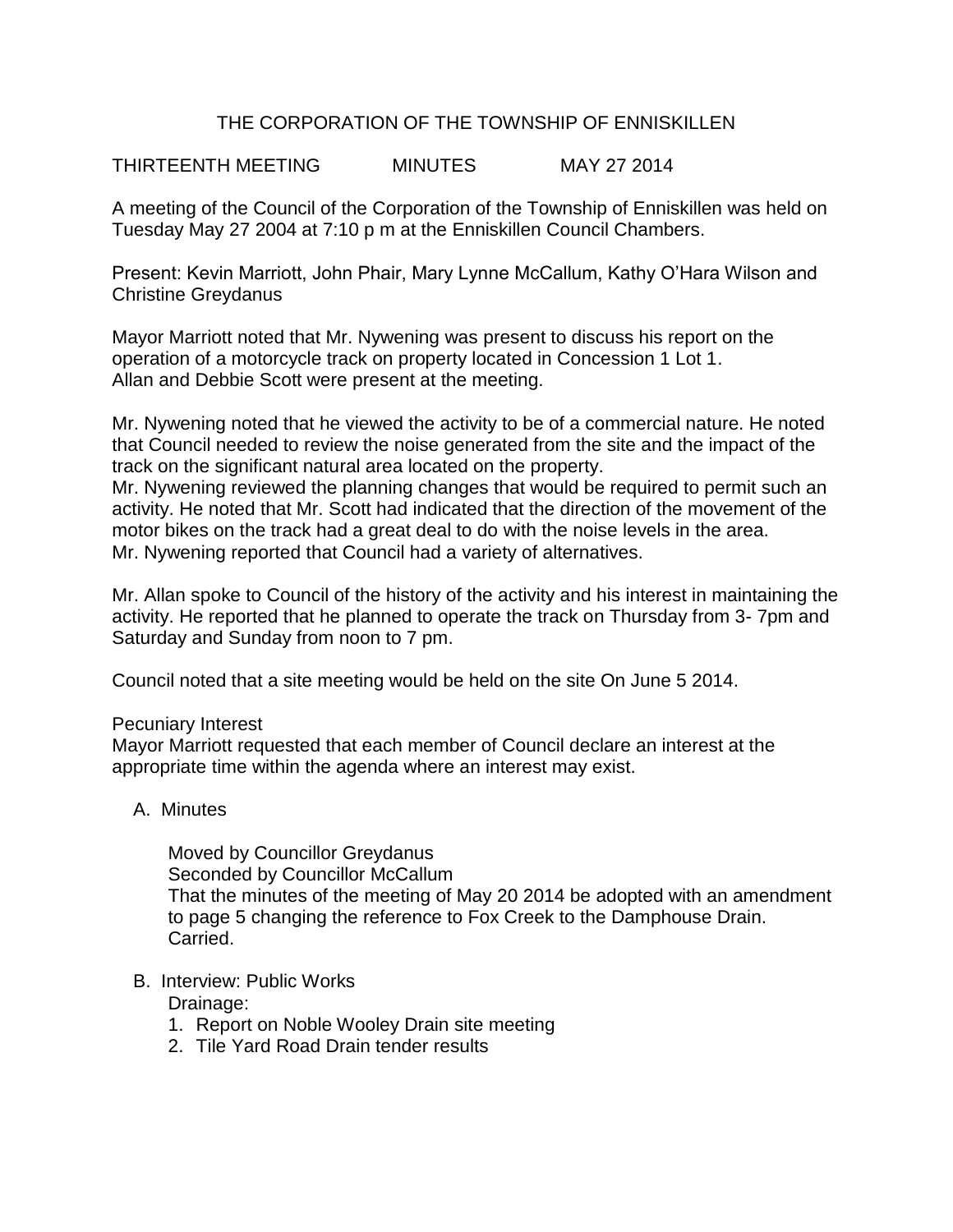# THE CORPORATION OF THE TOWNSHIP OF ENNISKILLEN

THIRTEENTH MEETING MINUTES MAY 27 2014

A meeting of the Council of the Corporation of the Township of Enniskillen was held on Tuesday May 27 2004 at 7:10 p m at the Enniskillen Council Chambers.

Present: Kevin Marriott, John Phair, Mary Lynne McCallum, Kathy O'Hara Wilson and Christine Greydanus

Mayor Marriott noted that Mr. Nywening was present to discuss his report on the operation of a motorcycle track on property located in Concession 1 Lot 1. Allan and Debbie Scott were present at the meeting.

Mr. Nywening noted that he viewed the activity to be of a commercial nature. He noted that Council needed to review the noise generated from the site and the impact of the track on the significant natural area located on the property.

Mr. Nywening reviewed the planning changes that would be required to permit such an activity. He noted that Mr. Scott had indicated that the direction of the movement of the motor bikes on the track had a great deal to do with the noise levels in the area. Mr. Nywening reported that Council had a variety of alternatives.

Mr. Allan spoke to Council of the history of the activity and his interest in maintaining the activity. He reported that he planned to operate the track on Thursday from 3- 7pm and Saturday and Sunday from noon to 7 pm.

Council noted that a site meeting would be held on the site On June 5 2014.

#### Pecuniary Interest

Mayor Marriott requested that each member of Council declare an interest at the appropriate time within the agenda where an interest may exist.

# A. Minutes

Moved by Councillor Greydanus Seconded by Councillor McCallum That the minutes of the meeting of May 20 2014 be adopted with an amendment to page 5 changing the reference to Fox Creek to the Damphouse Drain. Carried.

#### B. Interview: Public Works Drainage:

1. Report on Noble Wooley Drain site meeting

2. Tile Yard Road Drain tender results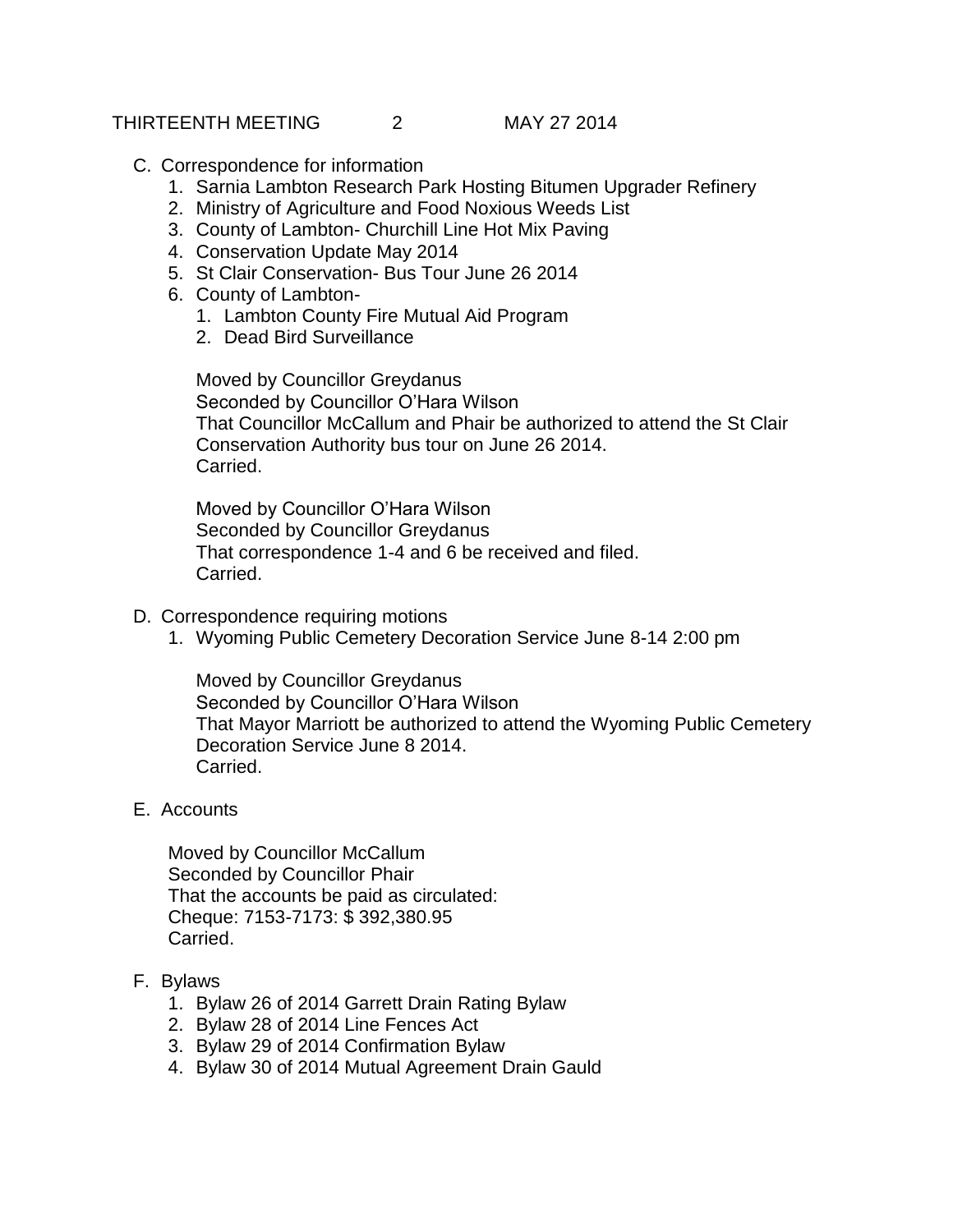#### THIRTEENTH MEETING 2 MAY 27 2014

# C. Correspondence for information

- 1. Sarnia Lambton Research Park Hosting Bitumen Upgrader Refinery
- 2. Ministry of Agriculture and Food Noxious Weeds List
- 3. County of Lambton- Churchill Line Hot Mix Paving
- 4. Conservation Update May 2014
- 5. St Clair Conservation- Bus Tour June 26 2014
- 6. County of Lambton-
	- 1. Lambton County Fire Mutual Aid Program
	- 2. Dead Bird Surveillance

Moved by Councillor Greydanus Seconded by Councillor O'Hara Wilson That Councillor McCallum and Phair be authorized to attend the St Clair Conservation Authority bus tour on June 26 2014. Carried.

Moved by Councillor O'Hara Wilson Seconded by Councillor Greydanus That correspondence 1-4 and 6 be received and filed. Carried.

- D. Correspondence requiring motions
	- 1. Wyoming Public Cemetery Decoration Service June 8-14 2:00 pm

Moved by Councillor Greydanus Seconded by Councillor O'Hara Wilson That Mayor Marriott be authorized to attend the Wyoming Public Cemetery Decoration Service June 8 2014. Carried.

E. Accounts

Moved by Councillor McCallum Seconded by Councillor Phair That the accounts be paid as circulated: Cheque: 7153-7173: \$ 392,380.95 Carried.

- F. Bylaws
	- 1. Bylaw 26 of 2014 Garrett Drain Rating Bylaw
	- 2. Bylaw 28 of 2014 Line Fences Act
	- 3. Bylaw 29 of 2014 Confirmation Bylaw
	- 4. Bylaw 30 of 2014 Mutual Agreement Drain Gauld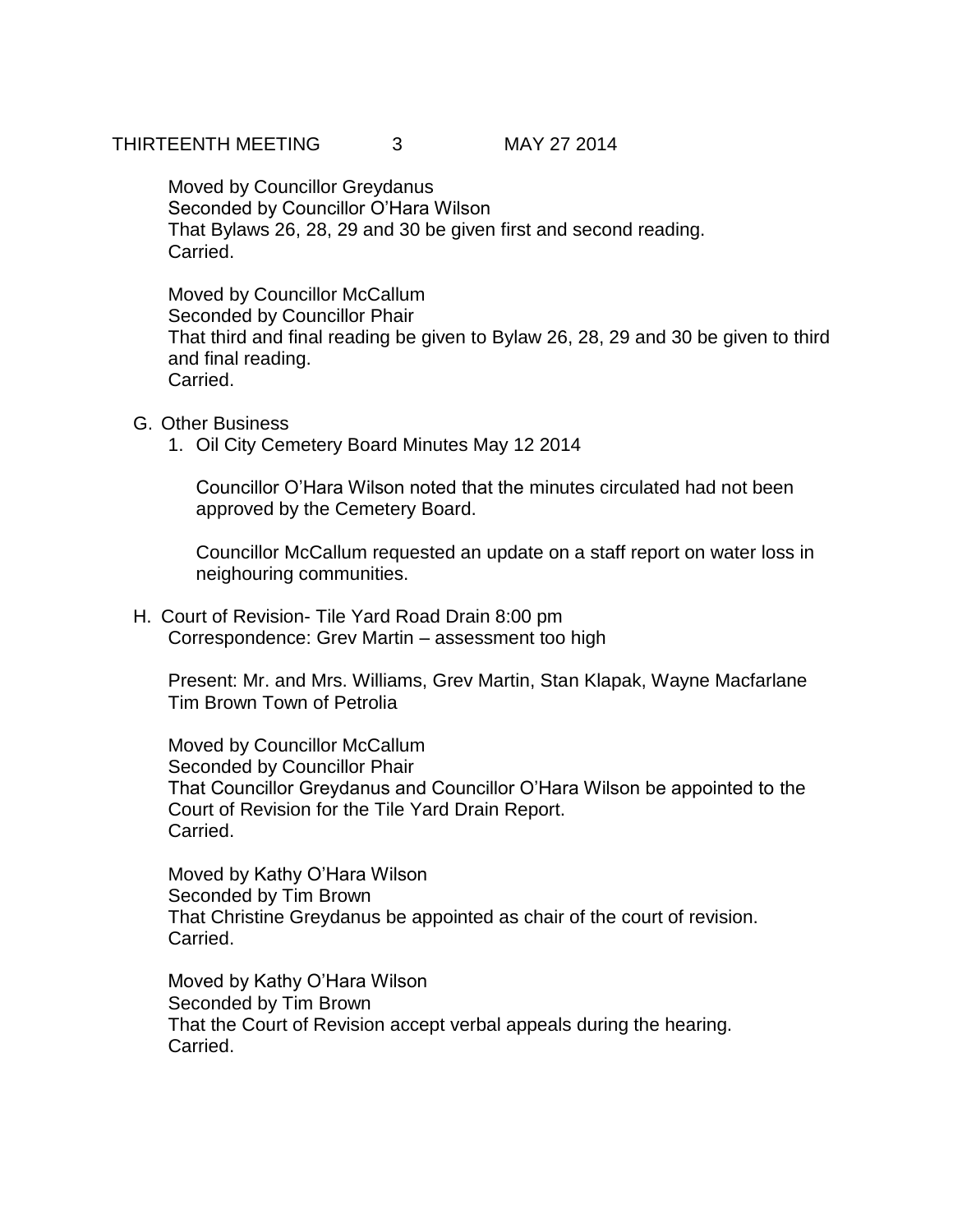### THIRTEENTH MEETING 3 MAY 27 2014

Moved by Councillor Greydanus Seconded by Councillor O'Hara Wilson That Bylaws 26, 28, 29 and 30 be given first and second reading. Carried.

Moved by Councillor McCallum Seconded by Councillor Phair That third and final reading be given to Bylaw 26, 28, 29 and 30 be given to third and final reading. Carried.

# G. Other Business

1. Oil City Cemetery Board Minutes May 12 2014

Councillor O'Hara Wilson noted that the minutes circulated had not been approved by the Cemetery Board.

Councillor McCallum requested an update on a staff report on water loss in neighouring communities.

H. Court of Revision- Tile Yard Road Drain 8:00 pm Correspondence: Grev Martin – assessment too high

Present: Mr. and Mrs. Williams, Grev Martin, Stan Klapak, Wayne Macfarlane Tim Brown Town of Petrolia

Moved by Councillor McCallum Seconded by Councillor Phair That Councillor Greydanus and Councillor O'Hara Wilson be appointed to the Court of Revision for the Tile Yard Drain Report. Carried.

Moved by Kathy O'Hara Wilson Seconded by Tim Brown That Christine Greydanus be appointed as chair of the court of revision. Carried.

Moved by Kathy O'Hara Wilson Seconded by Tim Brown That the Court of Revision accept verbal appeals during the hearing. Carried.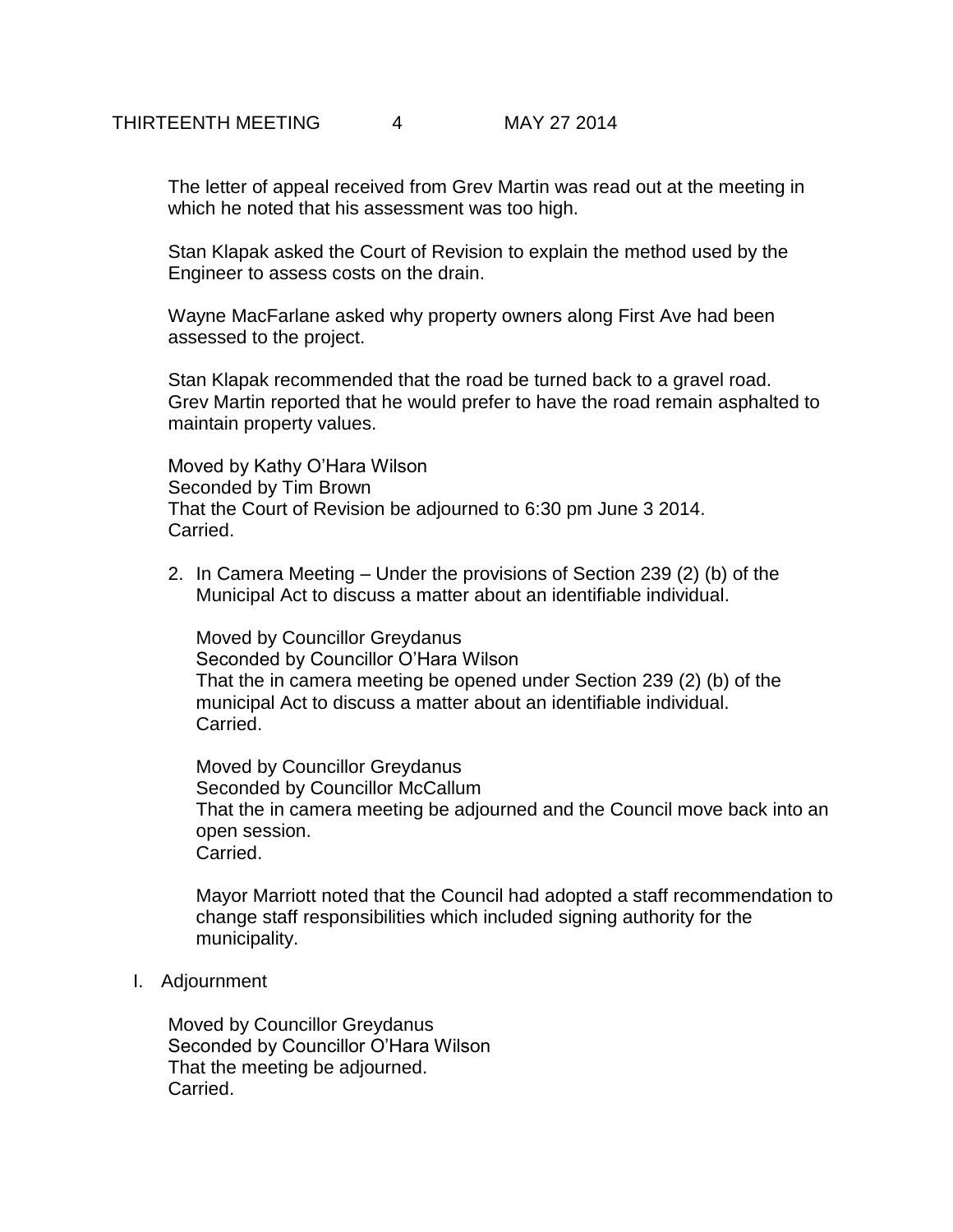The letter of appeal received from Grev Martin was read out at the meeting in which he noted that his assessment was too high.

Stan Klapak asked the Court of Revision to explain the method used by the Engineer to assess costs on the drain.

Wayne MacFarlane asked why property owners along First Ave had been assessed to the project.

Stan Klapak recommended that the road be turned back to a gravel road. Grev Martin reported that he would prefer to have the road remain asphalted to maintain property values.

Moved by Kathy O'Hara Wilson Seconded by Tim Brown That the Court of Revision be adjourned to 6:30 pm June 3 2014. Carried.

2. In Camera Meeting – Under the provisions of Section 239 (2) (b) of the Municipal Act to discuss a matter about an identifiable individual.

Moved by Councillor Greydanus Seconded by Councillor O'Hara Wilson That the in camera meeting be opened under Section 239 (2) (b) of the municipal Act to discuss a matter about an identifiable individual. Carried.

Moved by Councillor Greydanus Seconded by Councillor McCallum That the in camera meeting be adjourned and the Council move back into an open session. Carried.

Mayor Marriott noted that the Council had adopted a staff recommendation to change staff responsibilities which included signing authority for the municipality.

I. Adjournment

Moved by Councillor Greydanus Seconded by Councillor O'Hara Wilson That the meeting be adjourned. Carried.